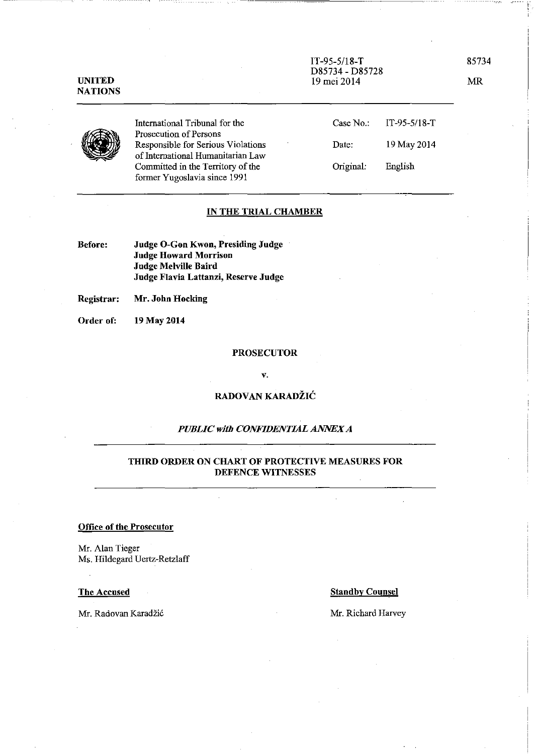IT-95-5/18-T 85734 D85734 - D85728 19 mei 2014 MR

NATIONS

UNITED

International Tribunal for the Prosecution of Persons Responsible for Serious Violations of Intemational Humanitarian Law Committed in the Territory of the former Yugoslavia since 1991

| Case No.: | $IT-95-5/18-T$ |
|-----------|----------------|
| Date:     | 19 May 2014    |
| Original: | English        |

### IN THE TRIAL CHAMBER

Before: Judge O-Gon Kwon, Presiding Judge Judge Howard Morrison Judge Melville Baird Judge Flavia Lattanzi, Reserve Judge

Registrar: Mr. John Hocking

Order of: 19 May 2014

#### PROSECUTOR

v.

# RADOVAN KARADŽIĆ

# *PUBLIC with CONFIDENTIAL ANNEX A*

## THIRD ORDER ON CHART OF PROTECTIVE MEASURES FOR DEFENCE WITNESSES

## Office of the Prosecutor

Mr. Alan Tieger Ms. Hildegard Uertz-Retzlaff

Mr. Radovan Karadžić Mr. Richard Harvey

### The Accused Standby Counsel

----- ! f.,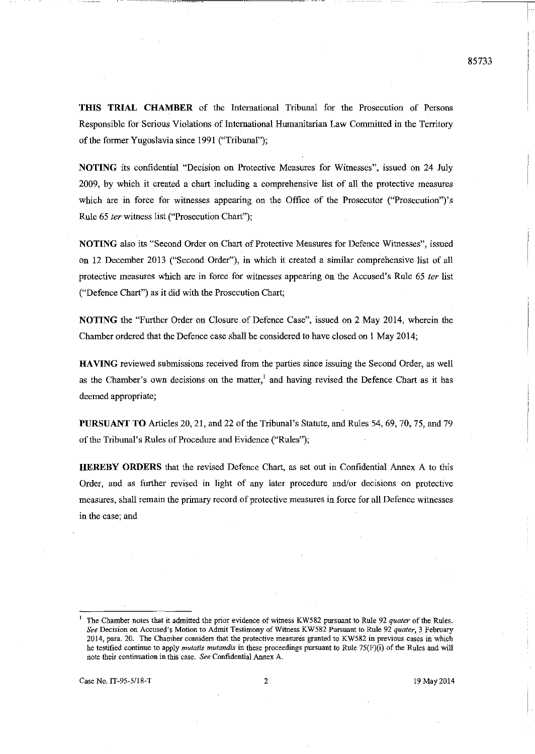**THIS TRIAL CHAMBER** of the International Tribunal for the Prosecution of Persons Responsible for Serions Violations of International Hmnanitarian Law Committed in the Territory of the fonner Yugoslavia since 1991 ("Tribunal");

**NOTING** its confidential "Decision on Protective Measures for Witnesses", issued on 24 July 2009, by which it created a chart including a comprehensive list of all the protective measures which are in force for witnesses appearing on the Office of the Prosecutor ("Prosecution")'s Rule 65 *ter* witness list ("Prosecution Chart");

**NOTING** also its "Second Order on Chart of Protective Measures for Defence Witnesses", issued on 12 December 2013 ("Second Order"), in which it created a similar comprehensive list of all protective measures which are in force for witnesses appearing on the Accused's Rule 65 ter list ("Defence Chart") as it did with the Prosecution Chart;

**NOTING** the "Further Order on Closure of Defence Case", issued on 2 May 2014, wherein the Chamber ordered that the Defence case shall be considered to have closed on 1 May 2014;

**HAVING** reviewed submissions received from the parties since issuing the Second Order, as well as the Chamber's own decisions on the matter,<sup>1</sup> and having revised the Defence Chart as it has deemed appropriate;

**PURSUANT TO** Articles 20, 21, and 22 of the Tribunal's Statute, and Rules 54, 69, 70, 75, and 79 of the Tribunal's Rules of Procedure and Evidence ("Rules");

**HEREBY ORDERS** that the revised Defence Chart, as set out in Confidential Annex A to this Order, and as further revised in light of any later procedure and/or decisions on protective measures, shall remain the primary record of protective measures in force for all Defence witnesses **in the case; and** 

**<sup>1</sup>The Chamber notes that it admitted the prior evidence of witness KW582 pursuant to Rule 92** *quater* **of the Rules.**  *See* **Decision on Accused's Motion to Admit Testimony** of Witness **KW582 Pursuant to Rille 92** *quater,* **3 February 2014, para. 20. The Chamber considers that the protective measures granted to KW582 in previous cases in which he testified continue to apply** *mutatis mutandis* **in these proceedings pursuant to Rule 75(F)(i) of the Rules and will note their continuation in this case.** *See* **Confidential Annex A.**